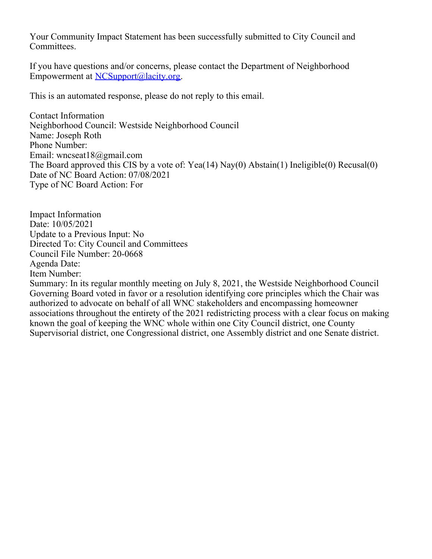Your Community Impact Statement has been successfully submitted to City Council and Committees.

If you have questions and/or concerns, please contact the Department of Neighborhood Empowerment at [NCSupport@lacity.org](mailto:NCSupport@lacity.org).

This is an automated response, please do not reply to this email.

Contact Information Neighborhood Council: Westside Neighborhood Council Name: Joseph Roth Phone Number: Email: wncseat18@gmail.com The Board approved this CIS by a vote of: Yea(14) Nay(0) Abstain(1) Ineligible(0) Recusal(0) Date of NC Board Action: 07/08/2021 Type of NC Board Action: For

Impact Information Date: 10/05/2021 Update to a Previous Input: No Directed To: City Council and Committees Council File Number: 20-0668 Agenda Date: Item Number:

Summary: In its regular monthly meeting on July 8, 2021, the Westside Neighborhood Council Governing Board voted in favor or a resolution identifying core principles which the Chair was authorized to advocate on behalf of all WNC stakeholders and encompassing homeowner associations throughout the entirety of the 2021 redistricting process with a clear focus on making known the goal of keeping the WNC whole within one City Council district, one County Supervisorial district, one Congressional district, one Assembly district and one Senate district.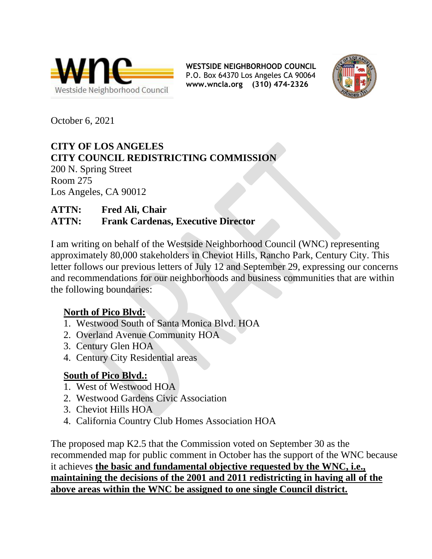



October 6, 2021

#### **CITY OF LOS ANGELES CITY COUNCIL REDISTRICTING COMMISSION**

200 N. Spring Street Room 275 Los Angeles, CA 90012

# **ATTN: Fred Ali, Chair**

### **ATTN: Frank Cardenas, Executive Director**

I am writing on behalf of the Westside Neighborhood Council (WNC) representing approximately 80,000 stakeholders in Cheviot Hills, Rancho Park, Century City. This letter follows our previous letters of July 12 and September 29, expressing our concerns and recommendations for our neighborhoods and business communities that are within the following boundaries:

### **North of Pico Blvd:**

- 1. Westwood South of Santa Monica Blvd. HOA
- 2. Overland Avenue Community HOA
- 3. Century Glen HOA
- 4. Century City Residential areas

### **South of Pico Blvd.:**

- 1. West of Westwood HOA
- 2. Westwood Gardens Civic Association
- 3. Cheviot Hills HOA
- 4. California Country Club Homes Association HOA

The proposed map K2.5 that the Commission voted on September 30 as the recommended map for public comment in October has the support of the WNC because it achieves **the basic and fundamental objective requested by the WNC, i.e., maintaining the decisions of the 2001 and 2011 redistricting in having all of the above areas within the WNC be assigned to one single Council district.**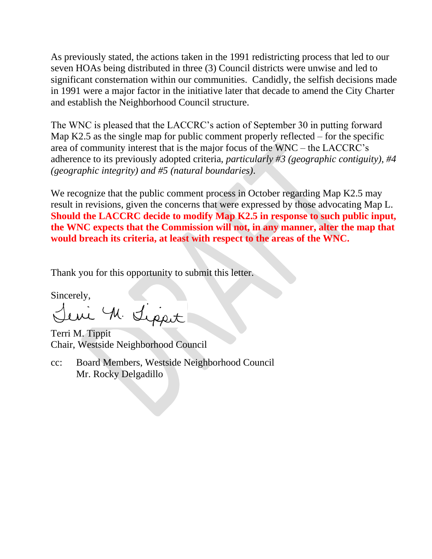As previously stated, the actions taken in the 1991 redistricting process that led to our seven HOAs being distributed in three (3) Council districts were unwise and led to significant consternation within our communities. Candidly, the selfish decisions made in 1991 were a major factor in the initiative later that decade to amend the City Charter and establish the Neighborhood Council structure.

The WNC is pleased that the LACCRC's action of September 30 in putting forward Map K2.5 as the single map for public comment properly reflected – for the specific area of community interest that is the major focus of the WNC – the LACCRC's adherence to its previously adopted criteria, *particularly #3 (geographic contiguity), #4 (geographic integrity) and #5 (natural boundaries)*.

We recognize that the public comment process in October regarding Map K2.5 may result in revisions, given the concerns that were expressed by those advocating Map L. **Should the LACCRC decide to modify Map K2.5 in response to such public input, the WNC expects that the Commission will not, in any manner, alter the map that would breach its criteria, at least with respect to the areas of the WNC.**

Thank you for this opportunity to submit this letter.

Sincerely,<br>Lewi M. Lippot

Terri M. Tippit Chair, Westside Neighborhood Council

cc: Board Members, Westside Neighborhood Council Mr. Rocky Delgadillo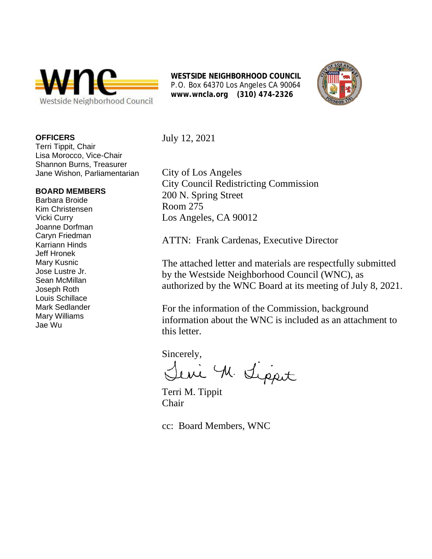



**OFFICERS**

Terri Tippit, Chair Lisa Morocco, Vice-Chair Shannon Burns, Treasurer Jane Wishon, Parliamentarian

#### **BOARD MEMBERS**

Barbara Broide Kim Christensen Vicki Curry Joanne Dorfman Caryn Friedman Karriann Hinds Jeff Hronek Mary Kusnic Jose Lustre Jr. Sean McMillan Joseph Roth Louis Schillace Mark Sedlander Mary Williams Jae Wu

July 12, 2021

City of Los Angeles City Council Redistricting Commission 200 N. Spring Street Room 275 Los Angeles, CA 90012

ATTN: Frank Cardenas, Executive Director

The attached letter and materials are respectfully submitted by the Westside Neighborhood Council (WNC), as authorized by the WNC Board at its meeting of July 8, 2021.

For the information of the Commission, background information about the WNC is included as an attachment to this letter.

Sincerely,

M. Lippet

Terri M. Tippit Chair

cc: Board Members, WNC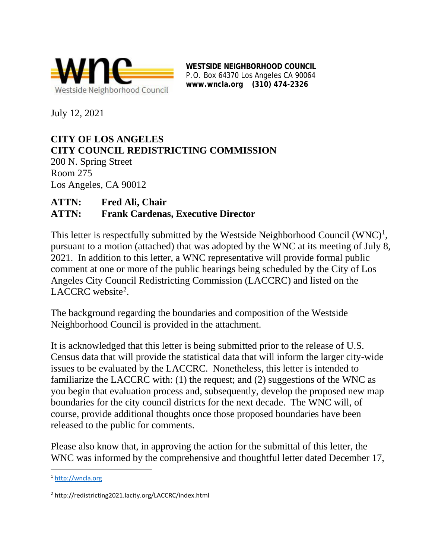

July 12, 2021

# **CITY OF LOS ANGELES CITY COUNCIL REDISTRICTING COMMISSION**

200 N. Spring Street Room 275 Los Angeles, CA 90012

#### **ATTN: Fred Ali, Chair ATTN: Frank Cardenas, Executive Director**

This letter is respectfully submitted by the Westside Neighborhood Council  $(WNC)^1$  $(WNC)^1$ , pursuant to a motion (attached) that was adopted by the WNC at its meeting of July 8, 2021. In addition to this letter, a WNC representative will provide formal public comment at one or more of the public hearings being scheduled by the City of Los Angeles City Council Redistricting Commission (LACCRC) and listed on the LACCRC website<sup>[2](#page-4-1)</sup>.

The background regarding the boundaries and composition of the Westside Neighborhood Council is provided in the attachment.

It is acknowledged that this letter is being submitted prior to the release of U.S. Census data that will provide the statistical data that will inform the larger city-wide issues to be evaluated by the LACCRC. Nonetheless, this letter is intended to familiarize the LACCRC with: (1) the request; and (2) suggestions of the WNC as you begin that evaluation process and, subsequently, develop the proposed new map boundaries for the city council districts for the next decade. The WNC will, of course, provide additional thoughts once those proposed boundaries have been released to the public for comments.

Please also know that, in approving the action for the submittal of this letter, the WNC was informed by the comprehensive and thoughtful letter dated December 17,

<span id="page-4-0"></span><sup>1</sup> [http://wncla.org](http://wncla.org/)

<span id="page-4-1"></span><sup>2</sup> http://redistricting2021.lacity.org/LACCRC/index.html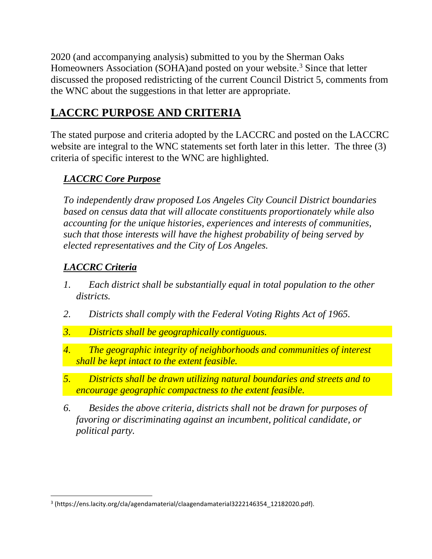2020 (and accompanying analysis) submitted to you by the Sherman Oaks Homeowners Association (SOHA)and posted on your website.<sup>[3](#page-5-0)</sup> Since that letter discussed the proposed redistricting of the current Council District 5, comments from the WNC about the suggestions in that letter are appropriate.

## **LACCRC PURPOSE AND CRITERIA**

The stated purpose and criteria adopted by the LACCRC and posted on the LACCRC website are integral to the WNC statements set forth later in this letter. The three (3) criteria of specific interest to the WNC are highlighted.

### *LACCRC Core Purpose*

*To independently draw proposed Los Angeles City Council District boundaries based on census data that will allocate constituents proportionately while also accounting for the unique histories, experiences and interests of communities, such that those interests will have the highest probability of being served by elected representatives and the City of Los Angeles.*

### *LACCRC Criteria*

- *1. Each district shall be substantially equal in total population to the other districts.*
- *2. Districts shall comply with the Federal Voting Rights Act of 1965.*
- *3. Districts shall be geographically contiguous.*
- *4. The geographic integrity of neighborhoods and communities of interest shall be kept intact to the extent feasible.*
- *5. Districts shall be drawn utilizing natural boundaries and streets and to encourage geographic compactness to the extent feasible.*
- *6. Besides the above criteria, districts shall not be drawn for purposes of favoring or discriminating against an incumbent, political candidate, or political party.*

<span id="page-5-0"></span><sup>&</sup>lt;sup>3</sup> (https://ens.lacity.org/cla/agendamaterial/claagendamaterial3222146354\_12182020.pdf).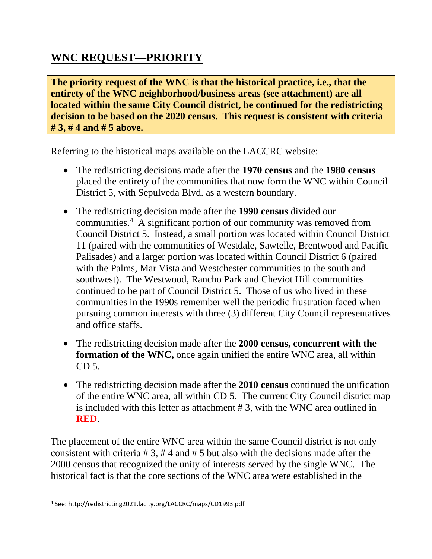### **WNC REQUEST—PRIORITY**

**The priority request of the WNC is that the historical practice, i.e., that the entirety of the WNC neighborhood/business areas (see attachment) are all located within the same City Council district, be continued for the redistricting decision to be based on the 2020 census. This request is consistent with criteria # 3, # 4 and # 5 above.**

Referring to the historical maps available on the LACCRC website:

- The redistricting decisions made after the **1970 census** and the **1980 census** placed the entirety of the communities that now form the WNC within Council District 5, with Sepulveda Blvd. as a western boundary.
- The redistricting decision made after the **1990 census** divided our communities[.4](#page-6-0) A significant portion of our community was removed from Council District 5. Instead, a small portion was located within Council District 11 (paired with the communities of Westdale, Sawtelle, Brentwood and Pacific Palisades) and a larger portion was located within Council District 6 (paired with the Palms, Mar Vista and Westchester communities to the south and southwest). The Westwood, Rancho Park and Cheviot Hill communities continued to be part of Council District 5. Those of us who lived in these communities in the 1990s remember well the periodic frustration faced when pursuing common interests with three (3) different City Council representatives and office staffs.
- The redistricting decision made after the **2000 census, concurrent with the formation of the WNC,** once again unified the entire WNC area, all within CD 5.
- The redistricting decision made after the **2010 census** continued the unification of the entire WNC area, all within CD 5. The current City Council district map is included with this letter as attachment # 3, with the WNC area outlined in **RED**.

The placement of the entire WNC area within the same Council district is not only consistent with criteria # 3, # 4 and # 5 but also with the decisions made after the 2000 census that recognized the unity of interests served by the single WNC. The historical fact is that the core sections of the WNC area were established in the

<span id="page-6-0"></span><sup>4</sup> See: http://redistricting2021.lacity.org/LACCRC/maps/CD1993.pdf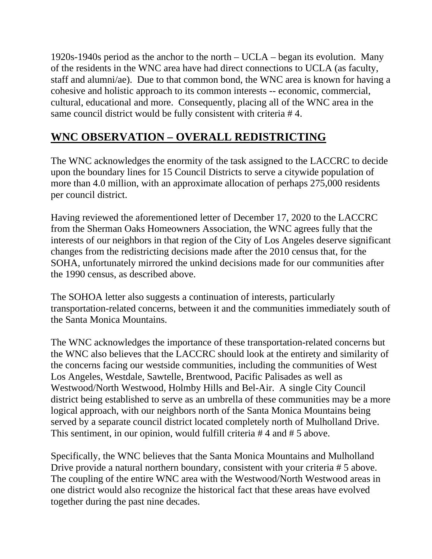1920s-1940s period as the anchor to the north – UCLA – began its evolution. Many of the residents in the WNC area have had direct connections to UCLA (as faculty, staff and alumni/ae). Due to that common bond, the WNC area is known for having a cohesive and holistic approach to its common interests -- economic, commercial, cultural, educational and more. Consequently, placing all of the WNC area in the same council district would be fully consistent with criteria # 4.

### **WNC OBSERVATION – OVERALL REDISTRICTING**

The WNC acknowledges the enormity of the task assigned to the LACCRC to decide upon the boundary lines for 15 Council Districts to serve a citywide population of more than 4.0 million, with an approximate allocation of perhaps 275,000 residents per council district.

Having reviewed the aforementioned letter of December 17, 2020 to the LACCRC from the Sherman Oaks Homeowners Association, the WNC agrees fully that the interests of our neighbors in that region of the City of Los Angeles deserve significant changes from the redistricting decisions made after the 2010 census that, for the SOHA, unfortunately mirrored the unkind decisions made for our communities after the 1990 census, as described above.

The SOHOA letter also suggests a continuation of interests, particularly transportation-related concerns, between it and the communities immediately south of the Santa Monica Mountains.

The WNC acknowledges the importance of these transportation-related concerns but the WNC also believes that the LACCRC should look at the entirety and similarity of the concerns facing our westside communities, including the communities of West Los Angeles, Westdale, Sawtelle, Brentwood, Pacific Palisades as well as Westwood/North Westwood, Holmby Hills and Bel-Air. A single City Council district being established to serve as an umbrella of these communities may be a more logical approach, with our neighbors north of the Santa Monica Mountains being served by a separate council district located completely north of Mulholland Drive. This sentiment, in our opinion, would fulfill criteria # 4 and # 5 above.

Specifically, the WNC believes that the Santa Monica Mountains and Mulholland Drive provide a natural northern boundary, consistent with your criteria # 5 above. The coupling of the entire WNC area with the Westwood/North Westwood areas in one district would also recognize the historical fact that these areas have evolved together during the past nine decades.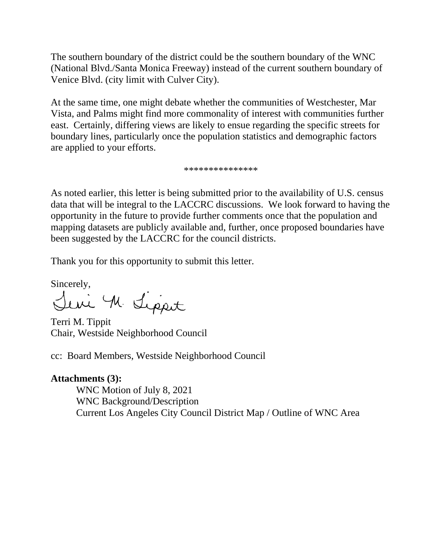The southern boundary of the district could be the southern boundary of the WNC (National Blvd./Santa Monica Freeway) instead of the current southern boundary of Venice Blvd. (city limit with Culver City).

At the same time, one might debate whether the communities of Westchester, Mar Vista, and Palms might find more commonality of interest with communities further east. Certainly, differing views are likely to ensue regarding the specific streets for boundary lines, particularly once the population statistics and demographic factors are applied to your efforts.

\*\*\*\*\*\*\*\*\*\*\*\*\*\*\*

As noted earlier, this letter is being submitted prior to the availability of U.S. census data that will be integral to the LACCRC discussions. We look forward to having the opportunity in the future to provide further comments once that the population and mapping datasets are publicly available and, further, once proposed boundaries have been suggested by the LACCRC for the council districts.

Thank you for this opportunity to submit this letter.

Sincerely,<br>Sini M. Sipport

Terri M. Tippit Chair, Westside Neighborhood Council

cc: Board Members, Westside Neighborhood Council

**Attachments (3):** WNC Motion of July 8, 2021 WNC Background/Description Current Los Angeles City Council District Map / Outline of WNC Area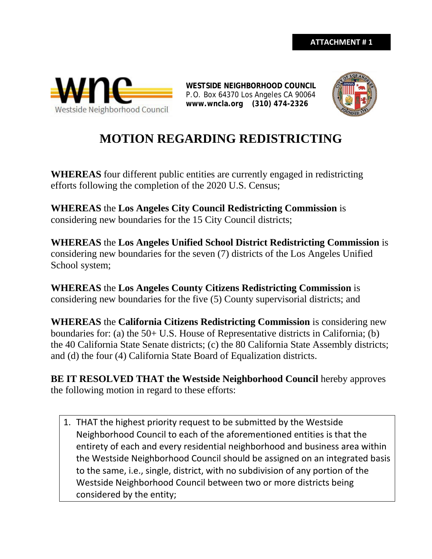



# **MOTION REGARDING REDISTRICTING**

**WHEREAS** four different public entities are currently engaged in redistricting efforts following the completion of the 2020 U.S. Census;

**WHEREAS** the **Los Angeles City Council Redistricting Commission** is considering new boundaries for the 15 City Council districts;

**WHEREAS** the **Los Angeles Unified School District Redistricting Commission** is considering new boundaries for the seven (7) districts of the Los Angeles Unified School system;

**WHEREAS** the **Los Angeles County Citizens Redistricting Commission** is considering new boundaries for the five (5) County supervisorial districts; and

**WHEREAS** the **California Citizens Redistricting Commission** is considering new boundaries for: (a) the 50+ U.S. House of Representative districts in California; (b) the 40 California State Senate districts; (c) the 80 California State Assembly districts; and (d) the four (4) California State Board of Equalization districts.

**BE IT RESOLVED THAT the Westside Neighborhood Council** hereby approves the following motion in regard to these efforts:

1. THAT the highest priority request to be submitted by the Westside Neighborhood Council to each of the aforementioned entities is that the entirety of each and every residential neighborhood and business area within the Westside Neighborhood Council should be assigned on an integrated basis to the same, i.e., single, district, with no subdivision of any portion of the Westside Neighborhood Council between two or more districts being considered by the entity;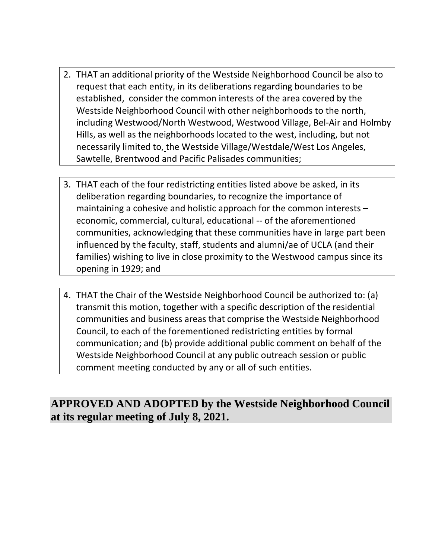- 2. THAT an additional priority of the Westside Neighborhood Council be also to request that each entity, in its deliberations regarding boundaries to be established, consider the common interests of the area covered by the Westside Neighborhood Council with other neighborhoods to the north, including Westwood/North Westwood, Westwood Village, Bel-Air and Holmby Hills, as well as the neighborhoods located to the west, including, but not necessarily limited to, the Westside Village/Westdale/West Los Angeles, Sawtelle, Brentwood and Pacific Palisades communities;
- 3. THAT each of the four redistricting entities listed above be asked, in its deliberation regarding boundaries, to recognize the importance of maintaining a cohesive and holistic approach for the common interests – economic, commercial, cultural, educational -- of the aforementioned communities, acknowledging that these communities have in large part been influenced by the faculty, staff, students and alumni/ae of UCLA (and their families) wishing to live in close proximity to the Westwood campus since its opening in 1929; and
- 4. THAT the Chair of the Westside Neighborhood Council be authorized to: (a) transmit this motion, together with a specific description of the residential communities and business areas that comprise the Westside Neighborhood Council, to each of the forementioned redistricting entities by formal communication; and (b) provide additional public comment on behalf of the Westside Neighborhood Council at any public outreach session or public comment meeting conducted by any or all of such entities.

### **APPROVED AND ADOPTED by the Westside Neighborhood Council at its regular meeting of July 8, 2021.**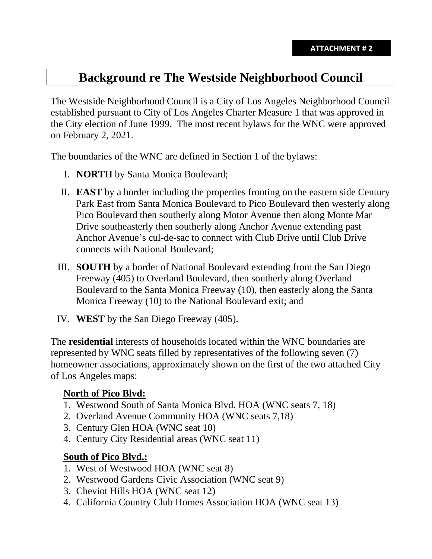# **Background re The Westside Neighborhood Council**

The Westside Neighborhood Council is a City of Los Angeles Neighborhood Council established pursuant to City of Los Angeles Charter Measure 1 that was approved in the City election of June 1999. The most recent bylaws for the WNC were approved on February 2, 2021.

The boundaries of the WNC are defined in Section 1 of the bylaws:

- I. **NORTH** by Santa Monica Boulevard;
- II. **EAST** by a border including the properties fronting on the eastern side Century Park East from Santa Monica Boulevard to Pico Boulevard then westerly along Pico Boulevard then southerly along Motor Avenue then along Monte Mar Drive southeasterly then southerly along Anchor Avenue extending past Anchor Avenue's cul-de-sac to connect with Club Drive until Club Drive connects with National Boulevard;
- III. **SOUTH** by a border of National Boulevard extending from the San Diego Freeway (405) to Overland Boulevard, then southerly along Overland Boulevard to the Santa Monica Freeway (10), then easterly along the Santa Monica Freeway (10) to the National Boulevard exit; and
- IV. **WEST** by the San Diego Freeway (405).

The **residential** interests of households located within the WNC boundaries are represented by WNC seats filled by representatives of the following seven (7) homeowner associations, approximately shown on the first of the two attached City of Los Angeles maps:

#### **North of Pico Blvd:**

- 1. Westwood South of Santa Monica Blvd. HOA (WNC seats 7, 18)
- 2. Overland Avenue Community HOA (WNC seats 7,18)
- 3. Century Glen HOA (WNC seat 10)
- 4. Century City Residential areas (WNC seat 11)

#### **South of Pico Blvd.:**

- 1. West of Westwood HOA (WNC seat 8)
- 2. Westwood Gardens Civic Association (WNC seat 9)
- 3. Cheviot Hills HOA (WNC seat 12)
- 4. California Country Club Homes Association HOA (WNC seat 13)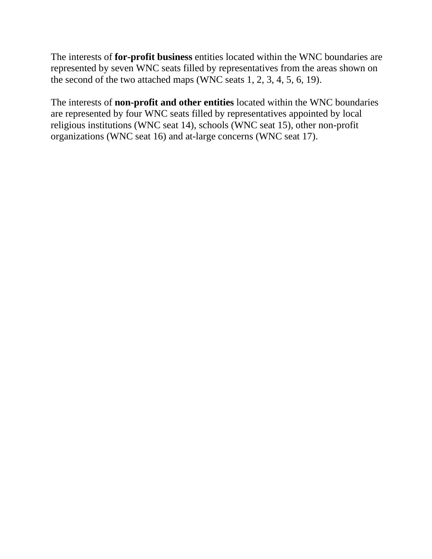The interests of **for-profit business** entities located within the WNC boundaries are represented by seven WNC seats filled by representatives from the areas shown on the second of the two attached maps (WNC seats 1, 2, 3, 4, 5, 6, 19).

The interests of **non-profit and other entities** located within the WNC boundaries are represented by four WNC seats filled by representatives appointed by local religious institutions (WNC seat 14), schools (WNC seat 15), other non-profit organizations (WNC seat 16) and at-large concerns (WNC seat 17).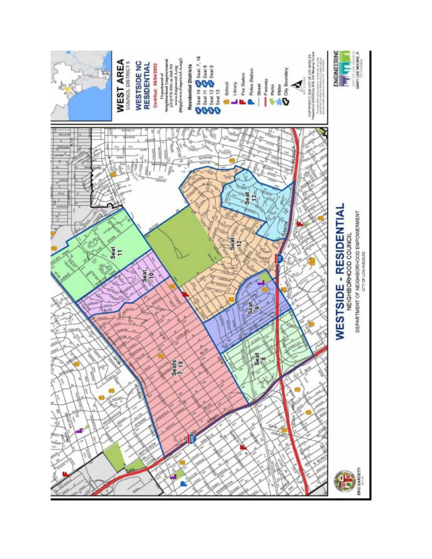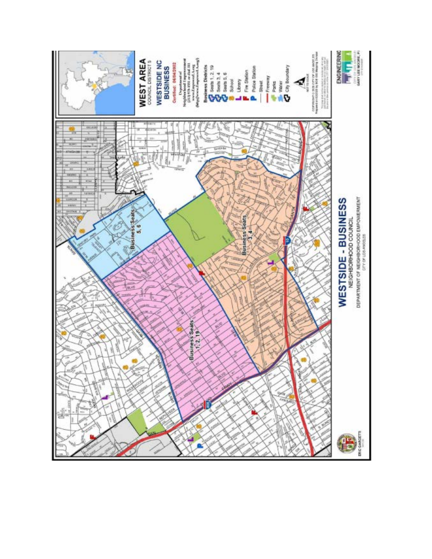